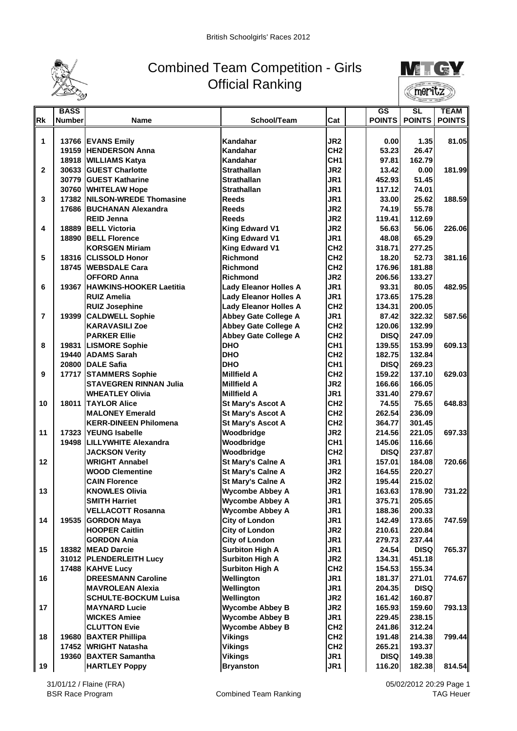

## Combined Team Competition - Girls Official Ranking



| School/Team<br>Cat<br><b>POINTS</b><br><b>POINTS</b><br><b>POINTS</b><br><b>Number</b><br>Name<br>JR <sub>2</sub><br>1.35<br>1<br>13766 EVANS Emily<br>Kandahar<br>0.00<br>CH <sub>2</sub><br><b>HENDERSON Anna</b><br>Kandahar<br>53.23<br>26.47<br>19159<br>CH <sub>1</sub><br>Kandahar<br>97.81<br>162.79<br>18918 WILLIAMS Katya<br>JR <sub>2</sub><br><b>Strathallan</b><br>$\mathbf{2}$<br>30633 GUEST Charlotte<br>13.42<br>0.00<br>JR1<br>30779 GUEST Katharine<br><b>Strathallan</b><br>51.45<br>452.93<br>JR1<br><b>Strathallan</b><br>30760 WHITELAW Hope<br>117.12<br>74.01<br>JR <sub>1</sub><br>3<br>17382 NILSON-WREDE Thomasine<br><b>Reeds</b><br>25.62<br>33.00<br>JR <sub>2</sub><br><b>Reeds</b><br>55.78<br>17686 BUCHANAN Alexandra<br>74.19<br>JR <sub>2</sub><br><b>Reeds</b><br>119.41<br>112.69<br><b>REID Jenna</b><br>18889<br><b>King Edward V1</b><br>JR <sub>2</sub><br>56.06<br>4<br><b>IBELL Victoria</b><br>56.63<br>JR1<br>65.29<br>18890 BELL Florence<br><b>King Edward V1</b><br>48.08<br>CH <sub>2</sub><br><b>King Edward V1</b><br><b>KORSGEN Miriam</b><br>318.71<br>277.25<br>CH <sub>2</sub><br>5<br><b>Richmond</b><br>52.73<br>18316 CLISSOLD Honor<br>18.20<br>CH <sub>2</sub><br>18745 WEBSDALE Cara<br>Richmond<br>176.96<br>181.88<br>JR <sub>2</sub><br><b>OFFORD Anna</b><br>206.56<br>133.27<br>Richmond<br>JR <sub>1</sub><br>6<br>19367 HAWKINS-HOOKER Laetitia<br>80.05<br>482.95<br><b>Lady Eleanor Holles A</b><br>93.31<br>JR <sub>1</sub><br><b>RUIZ Amelia</b><br><b>Lady Eleanor Holles A</b><br>175.28<br>173.65<br>CH <sub>2</sub><br><b>Lady Eleanor Holles A</b><br><b>RUIZ Josephine</b><br>134.31<br>200.05<br>JR <sub>1</sub><br><b>Abbey Gate College A</b><br>87.42<br>7<br>19399 CALDWELL Sophie<br>322.32<br>CH <sub>2</sub><br><b>Abbey Gate College A</b><br>132.99<br><b>KARAVASILI Zoe</b><br>120.06<br>CH <sub>2</sub><br><b>Abbey Gate College A</b><br>247.09<br><b>PARKER Ellie</b><br><b>DISQ</b><br><b>DHO</b><br>CH <sub>1</sub><br>19831  LISMORE Sophie<br>139.55<br>153.99<br>8<br>CH <sub>2</sub><br><b>DHO</b><br>132.84<br>19440 ADAMS Sarah<br>182.75<br>CH <sub>1</sub><br>20800 DALE Safia<br><b>DHO</b><br><b>DISQ</b><br>269.23<br>CH <sub>2</sub><br>9<br>17717 STAMMERS Sophie<br>Millfield A<br>159.22<br>137.10<br>JR <sub>2</sub><br><b>STAVEGREN RINNAN Julia</b><br><b>Millfield A</b><br>166.05<br>166.66<br>JR <sub>1</sub><br><b>WHEATLEY Olivia</b><br>Millfield A<br>331.40<br>279.67<br>CH <sub>2</sub><br>10<br><b>18011 TAYLOR Alice</b><br>74.55<br>75.65<br><b>St Mary's Ascot A</b><br>CH <sub>2</sub><br><b>St Mary's Ascot A</b><br>262.54<br>236.09<br><b>MALONEY Emerald</b><br>CH <sub>2</sub><br><b>St Mary's Ascot A</b><br>301.45<br><b>KERR-DINEEN Philomena</b><br>364.77<br>JR <sub>2</sub><br>11<br>17323 YEUNG Isabelle<br>Woodbridge<br>221.05<br>214.56<br>CH <sub>1</sub><br>116.66<br>19498  LILLYWHITE Alexandra<br>Woodbridge<br>145.06<br>CH <sub>2</sub><br><b>DISQ</b><br><b>JACKSON Verity</b><br>Woodbridge<br>237.87<br>JR1<br>12<br><b>WRIGHT Annabel</b><br>St Mary's Calne A<br>184.08<br>157.01<br>JR <sub>2</sub><br><b>WOOD Clementine</b><br><b>St Mary's Calne A</b><br>164.55<br>220.27<br><b>St Mary's Calne A</b><br>JR <sub>2</sub><br><b>CAIN Florence</b><br>195.44<br>215.02<br>JR1<br>13<br><b>KNOWLES Olivia</b><br><b>Wycombe Abbey A</b><br>163.63<br>178.90<br><b>Wycombe Abbey A</b><br>375.71<br><b>SMITH Harriet</b><br>JR1<br>205.65<br>JR1<br><b>VELLACOTT Rosanna</b><br><b>Wycombe Abbey A</b><br>188.36<br>200.33<br>14<br><b>City of London</b><br>JR1<br>19535 GORDON Maya<br>142.49<br>173.65<br><b>City of London</b><br>JR <sub>2</sub><br><b>HOOPER Caitlin</b><br>210.61<br>220.84<br><b>City of London</b><br>JR1<br><b>GORDON Ania</b><br>279.73<br>237.44<br>JR <sub>1</sub><br>15<br><b>Surbiton High A</b><br>18382 MEAD Darcie<br>24.54<br><b>DISQ</b><br><b>Surbiton High A</b><br>JR <sub>2</sub><br>31012 PLENDERLEITH Lucy<br>134.31<br>451.18<br>CH <sub>2</sub><br>17488 KAHVE Lucy<br><b>Surbiton High A</b><br>154.53<br>155.34<br>JR1<br>16<br><b>DREESMANN Caroline</b><br>Wellington<br>181.37<br>271.01<br>JR1<br><b>MAVROLEAN Alexia</b><br>Wellington<br>204.35<br><b>DISQ</b><br>Wellington<br>JR <sub>2</sub><br><b>SCHULTE-BOCKUM Luisa</b><br>161.42<br>160.87<br>17<br><b>Wycombe Abbey B</b><br>JR <sub>2</sub><br>165.93<br><b>MAYNARD Lucie</b><br>159.60<br><b>WICKES Amiee</b><br><b>Wycombe Abbey B</b><br>JR1<br>229.45<br>238.15<br><b>CLUTTON Evie</b><br><b>Wycombe Abbey B</b><br>CH <sub>2</sub><br>241.86<br>312.24<br><b>Vikings</b><br>CH <sub>2</sub><br>18<br>19680 BAXTER Phillipa<br>191.48<br>214.38<br>CH <sub>2</sub><br>193.37<br>17452   WRIGHT Natasha<br><b>Vikings</b><br>265.21<br>19360 BAXTER Samantha<br><b>Vikings</b><br>JR1<br><b>DISQ</b><br>149.38<br><b>HARTLEY Poppy</b><br><b>Bryanston</b><br>JR1<br>116.20<br>182.38<br>19 |           | <b>BASS</b> |  |  | GS | SL | <b>TEAM</b> |
|---------------------------------------------------------------------------------------------------------------------------------------------------------------------------------------------------------------------------------------------------------------------------------------------------------------------------------------------------------------------------------------------------------------------------------------------------------------------------------------------------------------------------------------------------------------------------------------------------------------------------------------------------------------------------------------------------------------------------------------------------------------------------------------------------------------------------------------------------------------------------------------------------------------------------------------------------------------------------------------------------------------------------------------------------------------------------------------------------------------------------------------------------------------------------------------------------------------------------------------------------------------------------------------------------------------------------------------------------------------------------------------------------------------------------------------------------------------------------------------------------------------------------------------------------------------------------------------------------------------------------------------------------------------------------------------------------------------------------------------------------------------------------------------------------------------------------------------------------------------------------------------------------------------------------------------------------------------------------------------------------------------------------------------------------------------------------------------------------------------------------------------------------------------------------------------------------------------------------------------------------------------------------------------------------------------------------------------------------------------------------------------------------------------------------------------------------------------------------------------------------------------------------------------------------------------------------------------------------------------------------------------------------------------------------------------------------------------------------------------------------------------------------------------------------------------------------------------------------------------------------------------------------------------------------------------------------------------------------------------------------------------------------------------------------------------------------------------------------------------------------------------------------------------------------------------------------------------------------------------------------------------------------------------------------------------------------------------------------------------------------------------------------------------------------------------------------------------------------------------------------------------------------------------------------------------------------------------------------------------------------------------------------------------------------------------------------------------------------------------------------------------------------------------------------------------------------------------------------------------------------------------------------------------------------------------------------------------------------------------------------------------------------------------------------------------------------------------------------------------------------------------------------------------------------------------------------------------------------------------------------------------------------------------------------------------------------------------------------------------------------------------------------------------------------------------------------------------------------------------------------------------------------------------------------------------------------------------------------------------------------------------------------------------------------------------------------------------------------------------------------------------------------------------------------------------------------------------------------------------------------------------------------------------------------------------------------------------------------|-----------|-------------|--|--|----|----|-------------|
| 81.05<br>181.99<br>720.66<br>799.44                                                                                                                                                                                                                                                                                                                                                                                                                                                                                                                                                                                                                                                                                                                                                                                                                                                                                                                                                                                                                                                                                                                                                                                                                                                                                                                                                                                                                                                                                                                                                                                                                                                                                                                                                                                                                                                                                                                                                                                                                                                                                                                                                                                                                                                                                                                                                                                                                                                                                                                                                                                                                                                                                                                                                                                                                                                                                                                                                                                                                                                                                                                                                                                                                                                                                                                                                                                                                                                                                                                                                                                                                                                                                                                                                                                                                                                                                                                                                                                                                                                                                                                                                                                                                                                                                                                                                                                                                                                                                                                                                                                                                                                                                                                                                                                                                                                                                                                                       | <b>Rk</b> |             |  |  |    |    |             |
|                                                                                                                                                                                                                                                                                                                                                                                                                                                                                                                                                                                                                                                                                                                                                                                                                                                                                                                                                                                                                                                                                                                                                                                                                                                                                                                                                                                                                                                                                                                                                                                                                                                                                                                                                                                                                                                                                                                                                                                                                                                                                                                                                                                                                                                                                                                                                                                                                                                                                                                                                                                                                                                                                                                                                                                                                                                                                                                                                                                                                                                                                                                                                                                                                                                                                                                                                                                                                                                                                                                                                                                                                                                                                                                                                                                                                                                                                                                                                                                                                                                                                                                                                                                                                                                                                                                                                                                                                                                                                                                                                                                                                                                                                                                                                                                                                                                                                                                                                                           |           |             |  |  |    |    |             |
|                                                                                                                                                                                                                                                                                                                                                                                                                                                                                                                                                                                                                                                                                                                                                                                                                                                                                                                                                                                                                                                                                                                                                                                                                                                                                                                                                                                                                                                                                                                                                                                                                                                                                                                                                                                                                                                                                                                                                                                                                                                                                                                                                                                                                                                                                                                                                                                                                                                                                                                                                                                                                                                                                                                                                                                                                                                                                                                                                                                                                                                                                                                                                                                                                                                                                                                                                                                                                                                                                                                                                                                                                                                                                                                                                                                                                                                                                                                                                                                                                                                                                                                                                                                                                                                                                                                                                                                                                                                                                                                                                                                                                                                                                                                                                                                                                                                                                                                                                                           |           |             |  |  |    |    |             |
|                                                                                                                                                                                                                                                                                                                                                                                                                                                                                                                                                                                                                                                                                                                                                                                                                                                                                                                                                                                                                                                                                                                                                                                                                                                                                                                                                                                                                                                                                                                                                                                                                                                                                                                                                                                                                                                                                                                                                                                                                                                                                                                                                                                                                                                                                                                                                                                                                                                                                                                                                                                                                                                                                                                                                                                                                                                                                                                                                                                                                                                                                                                                                                                                                                                                                                                                                                                                                                                                                                                                                                                                                                                                                                                                                                                                                                                                                                                                                                                                                                                                                                                                                                                                                                                                                                                                                                                                                                                                                                                                                                                                                                                                                                                                                                                                                                                                                                                                                                           |           |             |  |  |    |    |             |
|                                                                                                                                                                                                                                                                                                                                                                                                                                                                                                                                                                                                                                                                                                                                                                                                                                                                                                                                                                                                                                                                                                                                                                                                                                                                                                                                                                                                                                                                                                                                                                                                                                                                                                                                                                                                                                                                                                                                                                                                                                                                                                                                                                                                                                                                                                                                                                                                                                                                                                                                                                                                                                                                                                                                                                                                                                                                                                                                                                                                                                                                                                                                                                                                                                                                                                                                                                                                                                                                                                                                                                                                                                                                                                                                                                                                                                                                                                                                                                                                                                                                                                                                                                                                                                                                                                                                                                                                                                                                                                                                                                                                                                                                                                                                                                                                                                                                                                                                                                           |           |             |  |  |    |    |             |
|                                                                                                                                                                                                                                                                                                                                                                                                                                                                                                                                                                                                                                                                                                                                                                                                                                                                                                                                                                                                                                                                                                                                                                                                                                                                                                                                                                                                                                                                                                                                                                                                                                                                                                                                                                                                                                                                                                                                                                                                                                                                                                                                                                                                                                                                                                                                                                                                                                                                                                                                                                                                                                                                                                                                                                                                                                                                                                                                                                                                                                                                                                                                                                                                                                                                                                                                                                                                                                                                                                                                                                                                                                                                                                                                                                                                                                                                                                                                                                                                                                                                                                                                                                                                                                                                                                                                                                                                                                                                                                                                                                                                                                                                                                                                                                                                                                                                                                                                                                           |           |             |  |  |    |    |             |
|                                                                                                                                                                                                                                                                                                                                                                                                                                                                                                                                                                                                                                                                                                                                                                                                                                                                                                                                                                                                                                                                                                                                                                                                                                                                                                                                                                                                                                                                                                                                                                                                                                                                                                                                                                                                                                                                                                                                                                                                                                                                                                                                                                                                                                                                                                                                                                                                                                                                                                                                                                                                                                                                                                                                                                                                                                                                                                                                                                                                                                                                                                                                                                                                                                                                                                                                                                                                                                                                                                                                                                                                                                                                                                                                                                                                                                                                                                                                                                                                                                                                                                                                                                                                                                                                                                                                                                                                                                                                                                                                                                                                                                                                                                                                                                                                                                                                                                                                                                           |           |             |  |  |    |    |             |
| 188.59                                                                                                                                                                                                                                                                                                                                                                                                                                                                                                                                                                                                                                                                                                                                                                                                                                                                                                                                                                                                                                                                                                                                                                                                                                                                                                                                                                                                                                                                                                                                                                                                                                                                                                                                                                                                                                                                                                                                                                                                                                                                                                                                                                                                                                                                                                                                                                                                                                                                                                                                                                                                                                                                                                                                                                                                                                                                                                                                                                                                                                                                                                                                                                                                                                                                                                                                                                                                                                                                                                                                                                                                                                                                                                                                                                                                                                                                                                                                                                                                                                                                                                                                                                                                                                                                                                                                                                                                                                                                                                                                                                                                                                                                                                                                                                                                                                                                                                                                                                    |           |             |  |  |    |    |             |
|                                                                                                                                                                                                                                                                                                                                                                                                                                                                                                                                                                                                                                                                                                                                                                                                                                                                                                                                                                                                                                                                                                                                                                                                                                                                                                                                                                                                                                                                                                                                                                                                                                                                                                                                                                                                                                                                                                                                                                                                                                                                                                                                                                                                                                                                                                                                                                                                                                                                                                                                                                                                                                                                                                                                                                                                                                                                                                                                                                                                                                                                                                                                                                                                                                                                                                                                                                                                                                                                                                                                                                                                                                                                                                                                                                                                                                                                                                                                                                                                                                                                                                                                                                                                                                                                                                                                                                                                                                                                                                                                                                                                                                                                                                                                                                                                                                                                                                                                                                           |           |             |  |  |    |    |             |
| 226.06<br>381.16<br>587.56<br>609.13                                                                                                                                                                                                                                                                                                                                                                                                                                                                                                                                                                                                                                                                                                                                                                                                                                                                                                                                                                                                                                                                                                                                                                                                                                                                                                                                                                                                                                                                                                                                                                                                                                                                                                                                                                                                                                                                                                                                                                                                                                                                                                                                                                                                                                                                                                                                                                                                                                                                                                                                                                                                                                                                                                                                                                                                                                                                                                                                                                                                                                                                                                                                                                                                                                                                                                                                                                                                                                                                                                                                                                                                                                                                                                                                                                                                                                                                                                                                                                                                                                                                                                                                                                                                                                                                                                                                                                                                                                                                                                                                                                                                                                                                                                                                                                                                                                                                                                                                      |           |             |  |  |    |    |             |
|                                                                                                                                                                                                                                                                                                                                                                                                                                                                                                                                                                                                                                                                                                                                                                                                                                                                                                                                                                                                                                                                                                                                                                                                                                                                                                                                                                                                                                                                                                                                                                                                                                                                                                                                                                                                                                                                                                                                                                                                                                                                                                                                                                                                                                                                                                                                                                                                                                                                                                                                                                                                                                                                                                                                                                                                                                                                                                                                                                                                                                                                                                                                                                                                                                                                                                                                                                                                                                                                                                                                                                                                                                                                                                                                                                                                                                                                                                                                                                                                                                                                                                                                                                                                                                                                                                                                                                                                                                                                                                                                                                                                                                                                                                                                                                                                                                                                                                                                                                           |           |             |  |  |    |    |             |
|                                                                                                                                                                                                                                                                                                                                                                                                                                                                                                                                                                                                                                                                                                                                                                                                                                                                                                                                                                                                                                                                                                                                                                                                                                                                                                                                                                                                                                                                                                                                                                                                                                                                                                                                                                                                                                                                                                                                                                                                                                                                                                                                                                                                                                                                                                                                                                                                                                                                                                                                                                                                                                                                                                                                                                                                                                                                                                                                                                                                                                                                                                                                                                                                                                                                                                                                                                                                                                                                                                                                                                                                                                                                                                                                                                                                                                                                                                                                                                                                                                                                                                                                                                                                                                                                                                                                                                                                                                                                                                                                                                                                                                                                                                                                                                                                                                                                                                                                                                           |           |             |  |  |    |    |             |
|                                                                                                                                                                                                                                                                                                                                                                                                                                                                                                                                                                                                                                                                                                                                                                                                                                                                                                                                                                                                                                                                                                                                                                                                                                                                                                                                                                                                                                                                                                                                                                                                                                                                                                                                                                                                                                                                                                                                                                                                                                                                                                                                                                                                                                                                                                                                                                                                                                                                                                                                                                                                                                                                                                                                                                                                                                                                                                                                                                                                                                                                                                                                                                                                                                                                                                                                                                                                                                                                                                                                                                                                                                                                                                                                                                                                                                                                                                                                                                                                                                                                                                                                                                                                                                                                                                                                                                                                                                                                                                                                                                                                                                                                                                                                                                                                                                                                                                                                                                           |           |             |  |  |    |    |             |
|                                                                                                                                                                                                                                                                                                                                                                                                                                                                                                                                                                                                                                                                                                                                                                                                                                                                                                                                                                                                                                                                                                                                                                                                                                                                                                                                                                                                                                                                                                                                                                                                                                                                                                                                                                                                                                                                                                                                                                                                                                                                                                                                                                                                                                                                                                                                                                                                                                                                                                                                                                                                                                                                                                                                                                                                                                                                                                                                                                                                                                                                                                                                                                                                                                                                                                                                                                                                                                                                                                                                                                                                                                                                                                                                                                                                                                                                                                                                                                                                                                                                                                                                                                                                                                                                                                                                                                                                                                                                                                                                                                                                                                                                                                                                                                                                                                                                                                                                                                           |           |             |  |  |    |    |             |
|                                                                                                                                                                                                                                                                                                                                                                                                                                                                                                                                                                                                                                                                                                                                                                                                                                                                                                                                                                                                                                                                                                                                                                                                                                                                                                                                                                                                                                                                                                                                                                                                                                                                                                                                                                                                                                                                                                                                                                                                                                                                                                                                                                                                                                                                                                                                                                                                                                                                                                                                                                                                                                                                                                                                                                                                                                                                                                                                                                                                                                                                                                                                                                                                                                                                                                                                                                                                                                                                                                                                                                                                                                                                                                                                                                                                                                                                                                                                                                                                                                                                                                                                                                                                                                                                                                                                                                                                                                                                                                                                                                                                                                                                                                                                                                                                                                                                                                                                                                           |           |             |  |  |    |    |             |
|                                                                                                                                                                                                                                                                                                                                                                                                                                                                                                                                                                                                                                                                                                                                                                                                                                                                                                                                                                                                                                                                                                                                                                                                                                                                                                                                                                                                                                                                                                                                                                                                                                                                                                                                                                                                                                                                                                                                                                                                                                                                                                                                                                                                                                                                                                                                                                                                                                                                                                                                                                                                                                                                                                                                                                                                                                                                                                                                                                                                                                                                                                                                                                                                                                                                                                                                                                                                                                                                                                                                                                                                                                                                                                                                                                                                                                                                                                                                                                                                                                                                                                                                                                                                                                                                                                                                                                                                                                                                                                                                                                                                                                                                                                                                                                                                                                                                                                                                                                           |           |             |  |  |    |    |             |
|                                                                                                                                                                                                                                                                                                                                                                                                                                                                                                                                                                                                                                                                                                                                                                                                                                                                                                                                                                                                                                                                                                                                                                                                                                                                                                                                                                                                                                                                                                                                                                                                                                                                                                                                                                                                                                                                                                                                                                                                                                                                                                                                                                                                                                                                                                                                                                                                                                                                                                                                                                                                                                                                                                                                                                                                                                                                                                                                                                                                                                                                                                                                                                                                                                                                                                                                                                                                                                                                                                                                                                                                                                                                                                                                                                                                                                                                                                                                                                                                                                                                                                                                                                                                                                                                                                                                                                                                                                                                                                                                                                                                                                                                                                                                                                                                                                                                                                                                                                           |           |             |  |  |    |    |             |
|                                                                                                                                                                                                                                                                                                                                                                                                                                                                                                                                                                                                                                                                                                                                                                                                                                                                                                                                                                                                                                                                                                                                                                                                                                                                                                                                                                                                                                                                                                                                                                                                                                                                                                                                                                                                                                                                                                                                                                                                                                                                                                                                                                                                                                                                                                                                                                                                                                                                                                                                                                                                                                                                                                                                                                                                                                                                                                                                                                                                                                                                                                                                                                                                                                                                                                                                                                                                                                                                                                                                                                                                                                                                                                                                                                                                                                                                                                                                                                                                                                                                                                                                                                                                                                                                                                                                                                                                                                                                                                                                                                                                                                                                                                                                                                                                                                                                                                                                                                           |           |             |  |  |    |    |             |
|                                                                                                                                                                                                                                                                                                                                                                                                                                                                                                                                                                                                                                                                                                                                                                                                                                                                                                                                                                                                                                                                                                                                                                                                                                                                                                                                                                                                                                                                                                                                                                                                                                                                                                                                                                                                                                                                                                                                                                                                                                                                                                                                                                                                                                                                                                                                                                                                                                                                                                                                                                                                                                                                                                                                                                                                                                                                                                                                                                                                                                                                                                                                                                                                                                                                                                                                                                                                                                                                                                                                                                                                                                                                                                                                                                                                                                                                                                                                                                                                                                                                                                                                                                                                                                                                                                                                                                                                                                                                                                                                                                                                                                                                                                                                                                                                                                                                                                                                                                           |           |             |  |  |    |    |             |
|                                                                                                                                                                                                                                                                                                                                                                                                                                                                                                                                                                                                                                                                                                                                                                                                                                                                                                                                                                                                                                                                                                                                                                                                                                                                                                                                                                                                                                                                                                                                                                                                                                                                                                                                                                                                                                                                                                                                                                                                                                                                                                                                                                                                                                                                                                                                                                                                                                                                                                                                                                                                                                                                                                                                                                                                                                                                                                                                                                                                                                                                                                                                                                                                                                                                                                                                                                                                                                                                                                                                                                                                                                                                                                                                                                                                                                                                                                                                                                                                                                                                                                                                                                                                                                                                                                                                                                                                                                                                                                                                                                                                                                                                                                                                                                                                                                                                                                                                                                           |           |             |  |  |    |    |             |
|                                                                                                                                                                                                                                                                                                                                                                                                                                                                                                                                                                                                                                                                                                                                                                                                                                                                                                                                                                                                                                                                                                                                                                                                                                                                                                                                                                                                                                                                                                                                                                                                                                                                                                                                                                                                                                                                                                                                                                                                                                                                                                                                                                                                                                                                                                                                                                                                                                                                                                                                                                                                                                                                                                                                                                                                                                                                                                                                                                                                                                                                                                                                                                                                                                                                                                                                                                                                                                                                                                                                                                                                                                                                                                                                                                                                                                                                                                                                                                                                                                                                                                                                                                                                                                                                                                                                                                                                                                                                                                                                                                                                                                                                                                                                                                                                                                                                                                                                                                           |           |             |  |  |    |    |             |
|                                                                                                                                                                                                                                                                                                                                                                                                                                                                                                                                                                                                                                                                                                                                                                                                                                                                                                                                                                                                                                                                                                                                                                                                                                                                                                                                                                                                                                                                                                                                                                                                                                                                                                                                                                                                                                                                                                                                                                                                                                                                                                                                                                                                                                                                                                                                                                                                                                                                                                                                                                                                                                                                                                                                                                                                                                                                                                                                                                                                                                                                                                                                                                                                                                                                                                                                                                                                                                                                                                                                                                                                                                                                                                                                                                                                                                                                                                                                                                                                                                                                                                                                                                                                                                                                                                                                                                                                                                                                                                                                                                                                                                                                                                                                                                                                                                                                                                                                                                           |           |             |  |  |    |    |             |
|                                                                                                                                                                                                                                                                                                                                                                                                                                                                                                                                                                                                                                                                                                                                                                                                                                                                                                                                                                                                                                                                                                                                                                                                                                                                                                                                                                                                                                                                                                                                                                                                                                                                                                                                                                                                                                                                                                                                                                                                                                                                                                                                                                                                                                                                                                                                                                                                                                                                                                                                                                                                                                                                                                                                                                                                                                                                                                                                                                                                                                                                                                                                                                                                                                                                                                                                                                                                                                                                                                                                                                                                                                                                                                                                                                                                                                                                                                                                                                                                                                                                                                                                                                                                                                                                                                                                                                                                                                                                                                                                                                                                                                                                                                                                                                                                                                                                                                                                                                           |           |             |  |  |    |    |             |
|                                                                                                                                                                                                                                                                                                                                                                                                                                                                                                                                                                                                                                                                                                                                                                                                                                                                                                                                                                                                                                                                                                                                                                                                                                                                                                                                                                                                                                                                                                                                                                                                                                                                                                                                                                                                                                                                                                                                                                                                                                                                                                                                                                                                                                                                                                                                                                                                                                                                                                                                                                                                                                                                                                                                                                                                                                                                                                                                                                                                                                                                                                                                                                                                                                                                                                                                                                                                                                                                                                                                                                                                                                                                                                                                                                                                                                                                                                                                                                                                                                                                                                                                                                                                                                                                                                                                                                                                                                                                                                                                                                                                                                                                                                                                                                                                                                                                                                                                                                           |           |             |  |  |    |    |             |
|                                                                                                                                                                                                                                                                                                                                                                                                                                                                                                                                                                                                                                                                                                                                                                                                                                                                                                                                                                                                                                                                                                                                                                                                                                                                                                                                                                                                                                                                                                                                                                                                                                                                                                                                                                                                                                                                                                                                                                                                                                                                                                                                                                                                                                                                                                                                                                                                                                                                                                                                                                                                                                                                                                                                                                                                                                                                                                                                                                                                                                                                                                                                                                                                                                                                                                                                                                                                                                                                                                                                                                                                                                                                                                                                                                                                                                                                                                                                                                                                                                                                                                                                                                                                                                                                                                                                                                                                                                                                                                                                                                                                                                                                                                                                                                                                                                                                                                                                                                           |           |             |  |  |    |    |             |
| 629.03<br>648.83<br>697.33<br>731.22<br>747.59<br>765.37<br>774.67<br>793.13<br>814.54                                                                                                                                                                                                                                                                                                                                                                                                                                                                                                                                                                                                                                                                                                                                                                                                                                                                                                                                                                                                                                                                                                                                                                                                                                                                                                                                                                                                                                                                                                                                                                                                                                                                                                                                                                                                                                                                                                                                                                                                                                                                                                                                                                                                                                                                                                                                                                                                                                                                                                                                                                                                                                                                                                                                                                                                                                                                                                                                                                                                                                                                                                                                                                                                                                                                                                                                                                                                                                                                                                                                                                                                                                                                                                                                                                                                                                                                                                                                                                                                                                                                                                                                                                                                                                                                                                                                                                                                                                                                                                                                                                                                                                                                                                                                                                                                                                                                                    |           |             |  |  |    |    |             |
|                                                                                                                                                                                                                                                                                                                                                                                                                                                                                                                                                                                                                                                                                                                                                                                                                                                                                                                                                                                                                                                                                                                                                                                                                                                                                                                                                                                                                                                                                                                                                                                                                                                                                                                                                                                                                                                                                                                                                                                                                                                                                                                                                                                                                                                                                                                                                                                                                                                                                                                                                                                                                                                                                                                                                                                                                                                                                                                                                                                                                                                                                                                                                                                                                                                                                                                                                                                                                                                                                                                                                                                                                                                                                                                                                                                                                                                                                                                                                                                                                                                                                                                                                                                                                                                                                                                                                                                                                                                                                                                                                                                                                                                                                                                                                                                                                                                                                                                                                                           |           |             |  |  |    |    |             |
|                                                                                                                                                                                                                                                                                                                                                                                                                                                                                                                                                                                                                                                                                                                                                                                                                                                                                                                                                                                                                                                                                                                                                                                                                                                                                                                                                                                                                                                                                                                                                                                                                                                                                                                                                                                                                                                                                                                                                                                                                                                                                                                                                                                                                                                                                                                                                                                                                                                                                                                                                                                                                                                                                                                                                                                                                                                                                                                                                                                                                                                                                                                                                                                                                                                                                                                                                                                                                                                                                                                                                                                                                                                                                                                                                                                                                                                                                                                                                                                                                                                                                                                                                                                                                                                                                                                                                                                                                                                                                                                                                                                                                                                                                                                                                                                                                                                                                                                                                                           |           |             |  |  |    |    |             |
|                                                                                                                                                                                                                                                                                                                                                                                                                                                                                                                                                                                                                                                                                                                                                                                                                                                                                                                                                                                                                                                                                                                                                                                                                                                                                                                                                                                                                                                                                                                                                                                                                                                                                                                                                                                                                                                                                                                                                                                                                                                                                                                                                                                                                                                                                                                                                                                                                                                                                                                                                                                                                                                                                                                                                                                                                                                                                                                                                                                                                                                                                                                                                                                                                                                                                                                                                                                                                                                                                                                                                                                                                                                                                                                                                                                                                                                                                                                                                                                                                                                                                                                                                                                                                                                                                                                                                                                                                                                                                                                                                                                                                                                                                                                                                                                                                                                                                                                                                                           |           |             |  |  |    |    |             |
|                                                                                                                                                                                                                                                                                                                                                                                                                                                                                                                                                                                                                                                                                                                                                                                                                                                                                                                                                                                                                                                                                                                                                                                                                                                                                                                                                                                                                                                                                                                                                                                                                                                                                                                                                                                                                                                                                                                                                                                                                                                                                                                                                                                                                                                                                                                                                                                                                                                                                                                                                                                                                                                                                                                                                                                                                                                                                                                                                                                                                                                                                                                                                                                                                                                                                                                                                                                                                                                                                                                                                                                                                                                                                                                                                                                                                                                                                                                                                                                                                                                                                                                                                                                                                                                                                                                                                                                                                                                                                                                                                                                                                                                                                                                                                                                                                                                                                                                                                                           |           |             |  |  |    |    |             |
|                                                                                                                                                                                                                                                                                                                                                                                                                                                                                                                                                                                                                                                                                                                                                                                                                                                                                                                                                                                                                                                                                                                                                                                                                                                                                                                                                                                                                                                                                                                                                                                                                                                                                                                                                                                                                                                                                                                                                                                                                                                                                                                                                                                                                                                                                                                                                                                                                                                                                                                                                                                                                                                                                                                                                                                                                                                                                                                                                                                                                                                                                                                                                                                                                                                                                                                                                                                                                                                                                                                                                                                                                                                                                                                                                                                                                                                                                                                                                                                                                                                                                                                                                                                                                                                                                                                                                                                                                                                                                                                                                                                                                                                                                                                                                                                                                                                                                                                                                                           |           |             |  |  |    |    |             |
|                                                                                                                                                                                                                                                                                                                                                                                                                                                                                                                                                                                                                                                                                                                                                                                                                                                                                                                                                                                                                                                                                                                                                                                                                                                                                                                                                                                                                                                                                                                                                                                                                                                                                                                                                                                                                                                                                                                                                                                                                                                                                                                                                                                                                                                                                                                                                                                                                                                                                                                                                                                                                                                                                                                                                                                                                                                                                                                                                                                                                                                                                                                                                                                                                                                                                                                                                                                                                                                                                                                                                                                                                                                                                                                                                                                                                                                                                                                                                                                                                                                                                                                                                                                                                                                                                                                                                                                                                                                                                                                                                                                                                                                                                                                                                                                                                                                                                                                                                                           |           |             |  |  |    |    |             |
|                                                                                                                                                                                                                                                                                                                                                                                                                                                                                                                                                                                                                                                                                                                                                                                                                                                                                                                                                                                                                                                                                                                                                                                                                                                                                                                                                                                                                                                                                                                                                                                                                                                                                                                                                                                                                                                                                                                                                                                                                                                                                                                                                                                                                                                                                                                                                                                                                                                                                                                                                                                                                                                                                                                                                                                                                                                                                                                                                                                                                                                                                                                                                                                                                                                                                                                                                                                                                                                                                                                                                                                                                                                                                                                                                                                                                                                                                                                                                                                                                                                                                                                                                                                                                                                                                                                                                                                                                                                                                                                                                                                                                                                                                                                                                                                                                                                                                                                                                                           |           |             |  |  |    |    |             |
|                                                                                                                                                                                                                                                                                                                                                                                                                                                                                                                                                                                                                                                                                                                                                                                                                                                                                                                                                                                                                                                                                                                                                                                                                                                                                                                                                                                                                                                                                                                                                                                                                                                                                                                                                                                                                                                                                                                                                                                                                                                                                                                                                                                                                                                                                                                                                                                                                                                                                                                                                                                                                                                                                                                                                                                                                                                                                                                                                                                                                                                                                                                                                                                                                                                                                                                                                                                                                                                                                                                                                                                                                                                                                                                                                                                                                                                                                                                                                                                                                                                                                                                                                                                                                                                                                                                                                                                                                                                                                                                                                                                                                                                                                                                                                                                                                                                                                                                                                                           |           |             |  |  |    |    |             |
|                                                                                                                                                                                                                                                                                                                                                                                                                                                                                                                                                                                                                                                                                                                                                                                                                                                                                                                                                                                                                                                                                                                                                                                                                                                                                                                                                                                                                                                                                                                                                                                                                                                                                                                                                                                                                                                                                                                                                                                                                                                                                                                                                                                                                                                                                                                                                                                                                                                                                                                                                                                                                                                                                                                                                                                                                                                                                                                                                                                                                                                                                                                                                                                                                                                                                                                                                                                                                                                                                                                                                                                                                                                                                                                                                                                                                                                                                                                                                                                                                                                                                                                                                                                                                                                                                                                                                                                                                                                                                                                                                                                                                                                                                                                                                                                                                                                                                                                                                                           |           |             |  |  |    |    |             |
|                                                                                                                                                                                                                                                                                                                                                                                                                                                                                                                                                                                                                                                                                                                                                                                                                                                                                                                                                                                                                                                                                                                                                                                                                                                                                                                                                                                                                                                                                                                                                                                                                                                                                                                                                                                                                                                                                                                                                                                                                                                                                                                                                                                                                                                                                                                                                                                                                                                                                                                                                                                                                                                                                                                                                                                                                                                                                                                                                                                                                                                                                                                                                                                                                                                                                                                                                                                                                                                                                                                                                                                                                                                                                                                                                                                                                                                                                                                                                                                                                                                                                                                                                                                                                                                                                                                                                                                                                                                                                                                                                                                                                                                                                                                                                                                                                                                                                                                                                                           |           |             |  |  |    |    |             |
|                                                                                                                                                                                                                                                                                                                                                                                                                                                                                                                                                                                                                                                                                                                                                                                                                                                                                                                                                                                                                                                                                                                                                                                                                                                                                                                                                                                                                                                                                                                                                                                                                                                                                                                                                                                                                                                                                                                                                                                                                                                                                                                                                                                                                                                                                                                                                                                                                                                                                                                                                                                                                                                                                                                                                                                                                                                                                                                                                                                                                                                                                                                                                                                                                                                                                                                                                                                                                                                                                                                                                                                                                                                                                                                                                                                                                                                                                                                                                                                                                                                                                                                                                                                                                                                                                                                                                                                                                                                                                                                                                                                                                                                                                                                                                                                                                                                                                                                                                                           |           |             |  |  |    |    |             |
|                                                                                                                                                                                                                                                                                                                                                                                                                                                                                                                                                                                                                                                                                                                                                                                                                                                                                                                                                                                                                                                                                                                                                                                                                                                                                                                                                                                                                                                                                                                                                                                                                                                                                                                                                                                                                                                                                                                                                                                                                                                                                                                                                                                                                                                                                                                                                                                                                                                                                                                                                                                                                                                                                                                                                                                                                                                                                                                                                                                                                                                                                                                                                                                                                                                                                                                                                                                                                                                                                                                                                                                                                                                                                                                                                                                                                                                                                                                                                                                                                                                                                                                                                                                                                                                                                                                                                                                                                                                                                                                                                                                                                                                                                                                                                                                                                                                                                                                                                                           |           |             |  |  |    |    |             |
|                                                                                                                                                                                                                                                                                                                                                                                                                                                                                                                                                                                                                                                                                                                                                                                                                                                                                                                                                                                                                                                                                                                                                                                                                                                                                                                                                                                                                                                                                                                                                                                                                                                                                                                                                                                                                                                                                                                                                                                                                                                                                                                                                                                                                                                                                                                                                                                                                                                                                                                                                                                                                                                                                                                                                                                                                                                                                                                                                                                                                                                                                                                                                                                                                                                                                                                                                                                                                                                                                                                                                                                                                                                                                                                                                                                                                                                                                                                                                                                                                                                                                                                                                                                                                                                                                                                                                                                                                                                                                                                                                                                                                                                                                                                                                                                                                                                                                                                                                                           |           |             |  |  |    |    |             |
|                                                                                                                                                                                                                                                                                                                                                                                                                                                                                                                                                                                                                                                                                                                                                                                                                                                                                                                                                                                                                                                                                                                                                                                                                                                                                                                                                                                                                                                                                                                                                                                                                                                                                                                                                                                                                                                                                                                                                                                                                                                                                                                                                                                                                                                                                                                                                                                                                                                                                                                                                                                                                                                                                                                                                                                                                                                                                                                                                                                                                                                                                                                                                                                                                                                                                                                                                                                                                                                                                                                                                                                                                                                                                                                                                                                                                                                                                                                                                                                                                                                                                                                                                                                                                                                                                                                                                                                                                                                                                                                                                                                                                                                                                                                                                                                                                                                                                                                                                                           |           |             |  |  |    |    |             |
|                                                                                                                                                                                                                                                                                                                                                                                                                                                                                                                                                                                                                                                                                                                                                                                                                                                                                                                                                                                                                                                                                                                                                                                                                                                                                                                                                                                                                                                                                                                                                                                                                                                                                                                                                                                                                                                                                                                                                                                                                                                                                                                                                                                                                                                                                                                                                                                                                                                                                                                                                                                                                                                                                                                                                                                                                                                                                                                                                                                                                                                                                                                                                                                                                                                                                                                                                                                                                                                                                                                                                                                                                                                                                                                                                                                                                                                                                                                                                                                                                                                                                                                                                                                                                                                                                                                                                                                                                                                                                                                                                                                                                                                                                                                                                                                                                                                                                                                                                                           |           |             |  |  |    |    |             |
|                                                                                                                                                                                                                                                                                                                                                                                                                                                                                                                                                                                                                                                                                                                                                                                                                                                                                                                                                                                                                                                                                                                                                                                                                                                                                                                                                                                                                                                                                                                                                                                                                                                                                                                                                                                                                                                                                                                                                                                                                                                                                                                                                                                                                                                                                                                                                                                                                                                                                                                                                                                                                                                                                                                                                                                                                                                                                                                                                                                                                                                                                                                                                                                                                                                                                                                                                                                                                                                                                                                                                                                                                                                                                                                                                                                                                                                                                                                                                                                                                                                                                                                                                                                                                                                                                                                                                                                                                                                                                                                                                                                                                                                                                                                                                                                                                                                                                                                                                                           |           |             |  |  |    |    |             |
|                                                                                                                                                                                                                                                                                                                                                                                                                                                                                                                                                                                                                                                                                                                                                                                                                                                                                                                                                                                                                                                                                                                                                                                                                                                                                                                                                                                                                                                                                                                                                                                                                                                                                                                                                                                                                                                                                                                                                                                                                                                                                                                                                                                                                                                                                                                                                                                                                                                                                                                                                                                                                                                                                                                                                                                                                                                                                                                                                                                                                                                                                                                                                                                                                                                                                                                                                                                                                                                                                                                                                                                                                                                                                                                                                                                                                                                                                                                                                                                                                                                                                                                                                                                                                                                                                                                                                                                                                                                                                                                                                                                                                                                                                                                                                                                                                                                                                                                                                                           |           |             |  |  |    |    |             |
|                                                                                                                                                                                                                                                                                                                                                                                                                                                                                                                                                                                                                                                                                                                                                                                                                                                                                                                                                                                                                                                                                                                                                                                                                                                                                                                                                                                                                                                                                                                                                                                                                                                                                                                                                                                                                                                                                                                                                                                                                                                                                                                                                                                                                                                                                                                                                                                                                                                                                                                                                                                                                                                                                                                                                                                                                                                                                                                                                                                                                                                                                                                                                                                                                                                                                                                                                                                                                                                                                                                                                                                                                                                                                                                                                                                                                                                                                                                                                                                                                                                                                                                                                                                                                                                                                                                                                                                                                                                                                                                                                                                                                                                                                                                                                                                                                                                                                                                                                                           |           |             |  |  |    |    |             |
|                                                                                                                                                                                                                                                                                                                                                                                                                                                                                                                                                                                                                                                                                                                                                                                                                                                                                                                                                                                                                                                                                                                                                                                                                                                                                                                                                                                                                                                                                                                                                                                                                                                                                                                                                                                                                                                                                                                                                                                                                                                                                                                                                                                                                                                                                                                                                                                                                                                                                                                                                                                                                                                                                                                                                                                                                                                                                                                                                                                                                                                                                                                                                                                                                                                                                                                                                                                                                                                                                                                                                                                                                                                                                                                                                                                                                                                                                                                                                                                                                                                                                                                                                                                                                                                                                                                                                                                                                                                                                                                                                                                                                                                                                                                                                                                                                                                                                                                                                                           |           |             |  |  |    |    |             |
|                                                                                                                                                                                                                                                                                                                                                                                                                                                                                                                                                                                                                                                                                                                                                                                                                                                                                                                                                                                                                                                                                                                                                                                                                                                                                                                                                                                                                                                                                                                                                                                                                                                                                                                                                                                                                                                                                                                                                                                                                                                                                                                                                                                                                                                                                                                                                                                                                                                                                                                                                                                                                                                                                                                                                                                                                                                                                                                                                                                                                                                                                                                                                                                                                                                                                                                                                                                                                                                                                                                                                                                                                                                                                                                                                                                                                                                                                                                                                                                                                                                                                                                                                                                                                                                                                                                                                                                                                                                                                                                                                                                                                                                                                                                                                                                                                                                                                                                                                                           |           |             |  |  |    |    |             |
|                                                                                                                                                                                                                                                                                                                                                                                                                                                                                                                                                                                                                                                                                                                                                                                                                                                                                                                                                                                                                                                                                                                                                                                                                                                                                                                                                                                                                                                                                                                                                                                                                                                                                                                                                                                                                                                                                                                                                                                                                                                                                                                                                                                                                                                                                                                                                                                                                                                                                                                                                                                                                                                                                                                                                                                                                                                                                                                                                                                                                                                                                                                                                                                                                                                                                                                                                                                                                                                                                                                                                                                                                                                                                                                                                                                                                                                                                                                                                                                                                                                                                                                                                                                                                                                                                                                                                                                                                                                                                                                                                                                                                                                                                                                                                                                                                                                                                                                                                                           |           |             |  |  |    |    |             |
|                                                                                                                                                                                                                                                                                                                                                                                                                                                                                                                                                                                                                                                                                                                                                                                                                                                                                                                                                                                                                                                                                                                                                                                                                                                                                                                                                                                                                                                                                                                                                                                                                                                                                                                                                                                                                                                                                                                                                                                                                                                                                                                                                                                                                                                                                                                                                                                                                                                                                                                                                                                                                                                                                                                                                                                                                                                                                                                                                                                                                                                                                                                                                                                                                                                                                                                                                                                                                                                                                                                                                                                                                                                                                                                                                                                                                                                                                                                                                                                                                                                                                                                                                                                                                                                                                                                                                                                                                                                                                                                                                                                                                                                                                                                                                                                                                                                                                                                                                                           |           |             |  |  |    |    |             |
|                                                                                                                                                                                                                                                                                                                                                                                                                                                                                                                                                                                                                                                                                                                                                                                                                                                                                                                                                                                                                                                                                                                                                                                                                                                                                                                                                                                                                                                                                                                                                                                                                                                                                                                                                                                                                                                                                                                                                                                                                                                                                                                                                                                                                                                                                                                                                                                                                                                                                                                                                                                                                                                                                                                                                                                                                                                                                                                                                                                                                                                                                                                                                                                                                                                                                                                                                                                                                                                                                                                                                                                                                                                                                                                                                                                                                                                                                                                                                                                                                                                                                                                                                                                                                                                                                                                                                                                                                                                                                                                                                                                                                                                                                                                                                                                                                                                                                                                                                                           |           |             |  |  |    |    |             |
|                                                                                                                                                                                                                                                                                                                                                                                                                                                                                                                                                                                                                                                                                                                                                                                                                                                                                                                                                                                                                                                                                                                                                                                                                                                                                                                                                                                                                                                                                                                                                                                                                                                                                                                                                                                                                                                                                                                                                                                                                                                                                                                                                                                                                                                                                                                                                                                                                                                                                                                                                                                                                                                                                                                                                                                                                                                                                                                                                                                                                                                                                                                                                                                                                                                                                                                                                                                                                                                                                                                                                                                                                                                                                                                                                                                                                                                                                                                                                                                                                                                                                                                                                                                                                                                                                                                                                                                                                                                                                                                                                                                                                                                                                                                                                                                                                                                                                                                                                                           |           |             |  |  |    |    |             |
|                                                                                                                                                                                                                                                                                                                                                                                                                                                                                                                                                                                                                                                                                                                                                                                                                                                                                                                                                                                                                                                                                                                                                                                                                                                                                                                                                                                                                                                                                                                                                                                                                                                                                                                                                                                                                                                                                                                                                                                                                                                                                                                                                                                                                                                                                                                                                                                                                                                                                                                                                                                                                                                                                                                                                                                                                                                                                                                                                                                                                                                                                                                                                                                                                                                                                                                                                                                                                                                                                                                                                                                                                                                                                                                                                                                                                                                                                                                                                                                                                                                                                                                                                                                                                                                                                                                                                                                                                                                                                                                                                                                                                                                                                                                                                                                                                                                                                                                                                                           |           |             |  |  |    |    |             |
|                                                                                                                                                                                                                                                                                                                                                                                                                                                                                                                                                                                                                                                                                                                                                                                                                                                                                                                                                                                                                                                                                                                                                                                                                                                                                                                                                                                                                                                                                                                                                                                                                                                                                                                                                                                                                                                                                                                                                                                                                                                                                                                                                                                                                                                                                                                                                                                                                                                                                                                                                                                                                                                                                                                                                                                                                                                                                                                                                                                                                                                                                                                                                                                                                                                                                                                                                                                                                                                                                                                                                                                                                                                                                                                                                                                                                                                                                                                                                                                                                                                                                                                                                                                                                                                                                                                                                                                                                                                                                                                                                                                                                                                                                                                                                                                                                                                                                                                                                                           |           |             |  |  |    |    |             |
|                                                                                                                                                                                                                                                                                                                                                                                                                                                                                                                                                                                                                                                                                                                                                                                                                                                                                                                                                                                                                                                                                                                                                                                                                                                                                                                                                                                                                                                                                                                                                                                                                                                                                                                                                                                                                                                                                                                                                                                                                                                                                                                                                                                                                                                                                                                                                                                                                                                                                                                                                                                                                                                                                                                                                                                                                                                                                                                                                                                                                                                                                                                                                                                                                                                                                                                                                                                                                                                                                                                                                                                                                                                                                                                                                                                                                                                                                                                                                                                                                                                                                                                                                                                                                                                                                                                                                                                                                                                                                                                                                                                                                                                                                                                                                                                                                                                                                                                                                                           |           |             |  |  |    |    |             |
|                                                                                                                                                                                                                                                                                                                                                                                                                                                                                                                                                                                                                                                                                                                                                                                                                                                                                                                                                                                                                                                                                                                                                                                                                                                                                                                                                                                                                                                                                                                                                                                                                                                                                                                                                                                                                                                                                                                                                                                                                                                                                                                                                                                                                                                                                                                                                                                                                                                                                                                                                                                                                                                                                                                                                                                                                                                                                                                                                                                                                                                                                                                                                                                                                                                                                                                                                                                                                                                                                                                                                                                                                                                                                                                                                                                                                                                                                                                                                                                                                                                                                                                                                                                                                                                                                                                                                                                                                                                                                                                                                                                                                                                                                                                                                                                                                                                                                                                                                                           |           |             |  |  |    |    |             |
|                                                                                                                                                                                                                                                                                                                                                                                                                                                                                                                                                                                                                                                                                                                                                                                                                                                                                                                                                                                                                                                                                                                                                                                                                                                                                                                                                                                                                                                                                                                                                                                                                                                                                                                                                                                                                                                                                                                                                                                                                                                                                                                                                                                                                                                                                                                                                                                                                                                                                                                                                                                                                                                                                                                                                                                                                                                                                                                                                                                                                                                                                                                                                                                                                                                                                                                                                                                                                                                                                                                                                                                                                                                                                                                                                                                                                                                                                                                                                                                                                                                                                                                                                                                                                                                                                                                                                                                                                                                                                                                                                                                                                                                                                                                                                                                                                                                                                                                                                                           |           |             |  |  |    |    |             |
|                                                                                                                                                                                                                                                                                                                                                                                                                                                                                                                                                                                                                                                                                                                                                                                                                                                                                                                                                                                                                                                                                                                                                                                                                                                                                                                                                                                                                                                                                                                                                                                                                                                                                                                                                                                                                                                                                                                                                                                                                                                                                                                                                                                                                                                                                                                                                                                                                                                                                                                                                                                                                                                                                                                                                                                                                                                                                                                                                                                                                                                                                                                                                                                                                                                                                                                                                                                                                                                                                                                                                                                                                                                                                                                                                                                                                                                                                                                                                                                                                                                                                                                                                                                                                                                                                                                                                                                                                                                                                                                                                                                                                                                                                                                                                                                                                                                                                                                                                                           |           |             |  |  |    |    |             |
|                                                                                                                                                                                                                                                                                                                                                                                                                                                                                                                                                                                                                                                                                                                                                                                                                                                                                                                                                                                                                                                                                                                                                                                                                                                                                                                                                                                                                                                                                                                                                                                                                                                                                                                                                                                                                                                                                                                                                                                                                                                                                                                                                                                                                                                                                                                                                                                                                                                                                                                                                                                                                                                                                                                                                                                                                                                                                                                                                                                                                                                                                                                                                                                                                                                                                                                                                                                                                                                                                                                                                                                                                                                                                                                                                                                                                                                                                                                                                                                                                                                                                                                                                                                                                                                                                                                                                                                                                                                                                                                                                                                                                                                                                                                                                                                                                                                                                                                                                                           |           |             |  |  |    |    |             |
|                                                                                                                                                                                                                                                                                                                                                                                                                                                                                                                                                                                                                                                                                                                                                                                                                                                                                                                                                                                                                                                                                                                                                                                                                                                                                                                                                                                                                                                                                                                                                                                                                                                                                                                                                                                                                                                                                                                                                                                                                                                                                                                                                                                                                                                                                                                                                                                                                                                                                                                                                                                                                                                                                                                                                                                                                                                                                                                                                                                                                                                                                                                                                                                                                                                                                                                                                                                                                                                                                                                                                                                                                                                                                                                                                                                                                                                                                                                                                                                                                                                                                                                                                                                                                                                                                                                                                                                                                                                                                                                                                                                                                                                                                                                                                                                                                                                                                                                                                                           |           |             |  |  |    |    |             |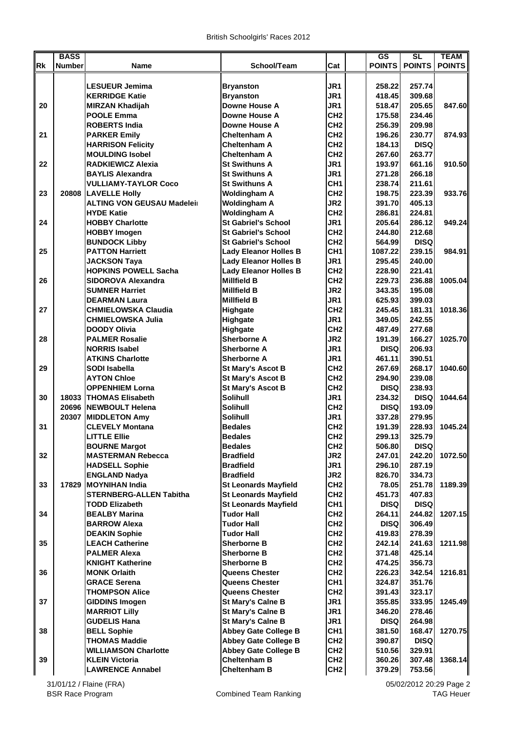|           | <b>BASS</b>   |                                   |                              |                 | $\overline{\text{GS}}$ | SL            | <b>TEAM</b>   |
|-----------|---------------|-----------------------------------|------------------------------|-----------------|------------------------|---------------|---------------|
| <b>Rk</b> | <b>Number</b> | Name                              | School/Team                  | Cat             | <b>POINTS</b>          | <b>POINTS</b> | <b>POINTS</b> |
|           |               |                                   |                              |                 |                        |               |               |
|           |               | <b>LESUEUR Jemima</b>             | <b>Bryanston</b>             | JR1             | 258.22                 | 257.74        |               |
|           |               | <b>KERRIDGE Katie</b>             | <b>Bryanston</b>             | JR <sub>1</sub> | 418.45                 | 309.68        |               |
| 20        |               | <b>MIRZAN Khadijah</b>            | Downe House A                | JR1             | 518.47                 | 205.65        | 847.60        |
|           |               | <b>POOLE Emma</b>                 | Downe House A                | CH <sub>2</sub> | 175.58                 | 234.46        |               |
|           |               | <b>ROBERTS India</b>              | Downe House A                | CH <sub>2</sub> | 256.39                 | 209.98        |               |
| 21        |               | <b>PARKER Emily</b>               | Cheltenham A                 | CH <sub>2</sub> | 196.26                 | 230.77        | 874.93        |
|           |               | <b>HARRISON Felicity</b>          | <b>Cheltenham A</b>          | CH <sub>2</sub> | 184.13                 | <b>DISQ</b>   |               |
|           |               | <b>MOULDING Isobel</b>            | Cheltenham A                 | CH <sub>2</sub> | 267.60                 | 263.77        |               |
| 22        |               | <b>RADKIEWICZ Alexia</b>          | <b>St Swithuns A</b>         | JR <sub>1</sub> | 193.97                 | 661.16        | 910.50        |
|           |               | <b>BAYLIS Alexandra</b>           | <b>St Swithuns A</b>         | JR1             | 271.28                 | 266.18        |               |
|           |               | <b>VULLIAMY-TAYLOR Coco</b>       | <b>St Swithuns A</b>         | CH <sub>1</sub> | 238.74                 | 211.61        |               |
| 23        | 20808         | <b>LAVELLE Holly</b>              | <b>Woldingham A</b>          | CH <sub>2</sub> | 198.75                 | 223.39        | 933.76        |
|           |               | <b>ALTING VON GEUSAU Madeleir</b> | <b>Woldingham A</b>          | JR <sub>2</sub> | 391.70                 | 405.13        |               |
|           |               | <b>HYDE Katie</b>                 | <b>Woldingham A</b>          | CH <sub>2</sub> | 286.81                 | 224.81        |               |
| 24        |               | <b>HOBBY Charlotte</b>            | <b>St Gabriel's School</b>   | JR1             | 205.64                 | 286.12        | 949.24        |
|           |               | <b>HOBBY Imogen</b>               | <b>St Gabriel's School</b>   | CH <sub>2</sub> | 244.80                 | 212.68        |               |
|           |               | <b>BUNDOCK Libby</b>              | <b>St Gabriel's School</b>   | CH <sub>2</sub> | 564.99                 | <b>DISQ</b>   |               |
| 25        |               | <b>PATTON Harriett</b>            | <b>Lady Eleanor Holles B</b> | CH <sub>1</sub> | 1087.22                | 239.15        | 984.91        |
|           |               | <b>JACKSON Taya</b>               | <b>Lady Eleanor Holles B</b> | JR1             | 295.45                 | 240.00        |               |
|           |               | <b>HOPKINS POWELL Sacha</b>       | <b>Lady Eleanor Holles B</b> | CH <sub>2</sub> | 228.90                 | 221.41        |               |
| 26        |               | <b>SIDOROVA Alexandra</b>         | <b>Millfield B</b>           | CH <sub>2</sub> | 229.73                 | 236.88        | 1005.04       |
|           |               | <b>SUMNER Harriet</b>             | <b>Millfield B</b>           | JR <sub>2</sub> | 343.35                 | 195.08        |               |
|           |               | <b>DEARMAN Laura</b>              | <b>Millfield B</b>           | JR1             | 625.93                 | 399.03        |               |
| 27        |               | <b>CHMIELOWSKA Claudia</b>        | <b>Highgate</b>              | CH <sub>2</sub> | 245.45                 | 181.31        | 1018.36       |
|           |               | <b>CHMIELOWSKA Julia</b>          | Highgate                     | JR1             | 349.05                 | 242.55        |               |
|           |               | <b>DOODY Olivia</b>               | Highgate                     | CH <sub>2</sub> | 487.49                 | 277.68        |               |
| 28        |               | <b>PALMER Rosalie</b>             | <b>Sherborne A</b>           | JR <sub>2</sub> | 191.39                 | 166.27        | 1025.70       |
|           |               | <b>NORRIS Isabel</b>              | <b>Sherborne A</b>           | JR <sub>1</sub> | <b>DISQ</b>            | 206.93        |               |
|           |               | <b>ATKINS Charlotte</b>           | Sherborne A                  | JR <sub>1</sub> | 461.11                 | 390.51        |               |
| 29        |               | SODI Isabella                     | <b>St Mary's Ascot B</b>     | CH <sub>2</sub> | 267.69                 | 268.17        | 1040.60       |
|           |               | <b>AYTON Chloe</b>                | <b>St Mary's Ascot B</b>     | CH <sub>2</sub> | 294.90                 | 239.08        |               |
|           |               | <b>OPPENHIEM Lorna</b>            | <b>St Mary's Ascot B</b>     | CH <sub>2</sub> | <b>DISQ</b>            | 238.93        |               |
| 30        |               | 18033 THOMAS Elisabeth            | Solihull                     | JR1             | 234.32                 | <b>DISQ</b>   | 1044.64       |
|           |               | 20696 NEWBOULT Helena             | <b>Solihull</b>              | CH <sub>2</sub> | <b>DISQ</b>            | 193.09        |               |
|           | 20307         | <b>MIDDLETON Amy</b>              | <b>Solihull</b>              | JR1             | 337.28                 | 279.95        |               |
| 31        |               | <b>CLEVELY Montana</b>            | <b>Bedales</b>               | CH <sub>2</sub> | 191.39                 | 228.93        | 1045.24       |
|           |               | <b>LITTLE Ellie</b>               | <b>Bedales</b>               | CH <sub>2</sub> | 299.13                 | 325.79        |               |
|           |               | <b>BOURNE Margot</b>              | <b>Bedales</b>               | CH <sub>2</sub> | 506.80                 | <b>DISQ</b>   |               |
| 32        |               | <b>MASTERMAN Rebecca</b>          | <b>Bradfield</b>             | JR <sub>2</sub> | 247.01                 | 242.20        | 1072.50       |
|           |               | <b>HADSELL Sophie</b>             | <b>Bradfield</b>             | JR1             | 296.10                 | 287.19        |               |
|           |               | <b>ENGLAND Nadya</b>              | <b>Bradfield</b>             | JR <sub>2</sub> | 826.70                 | 334.73        |               |
| 33        | 17829         | <b>MOYNIHAN India</b>             | <b>St Leonards Mayfield</b>  | CH <sub>2</sub> | 78.05                  | 251.78        | 1189.39       |
|           |               | <b>STERNBERG-ALLEN Tabitha</b>    | <b>St Leonards Mayfield</b>  | CH <sub>2</sub> | 451.73                 | 407.83        |               |
|           |               | <b>TODD Elizabeth</b>             | <b>St Leonards Mayfield</b>  | CH <sub>1</sub> | <b>DISQ</b>            | <b>DISQ</b>   |               |
| 34        |               | <b>BEALBY Marina</b>              | Tudor Hall                   | CH <sub>2</sub> | 264.11                 | 244.82        | 1207.15       |
|           |               | <b>BARROW Alexa</b>               | <b>Tudor Hall</b>            | CH <sub>2</sub> | <b>DISQ</b>            | 306.49        |               |
|           |               | <b>DEAKIN Sophie</b>              | <b>Tudor Hall</b>            | CH <sub>2</sub> | 419.83                 | 278.39        |               |
| 35        |               | <b>LEACH Catherine</b>            | Sherborne B                  | CH <sub>2</sub> | 242.14                 | 241.63        | 1211.98       |
|           |               | <b>PALMER Alexa</b>               | <b>Sherborne B</b>           | CH <sub>2</sub> | 371.48                 | 425.14        |               |
|           |               | <b>KNIGHT Katherine</b>           | <b>Sherborne B</b>           | CH <sub>2</sub> | 474.25                 | 356.73        |               |
| 36        |               | <b>MONK Orlaith</b>               | <b>Queens Chester</b>        | CH <sub>2</sub> | 226.23                 | 342.54        | 1216.81       |
|           |               | <b>GRACE Serena</b>               | <b>Queens Chester</b>        | CH <sub>1</sub> | 324.87                 | 351.76        |               |
|           |               | <b>THOMPSON Alice</b>             | Queens Chester               | CH <sub>2</sub> | 391.43                 | 323.17        |               |
| 37        |               | <b>GIDDINS Imogen</b>             | <b>St Mary's Calne B</b>     | JR1             | 355.85                 | 333.95        | 1245.49       |
|           |               | <b>MARRIOT Lilly</b>              | <b>St Mary's Calne B</b>     | JR1             | 346.20                 | 278.46        |               |
|           |               | <b>GUDELIS Hana</b>               | <b>St Mary's Calne B</b>     | JR1             | <b>DISQ</b>            | 264.98        |               |
| 38        |               | <b>BELL Sophie</b>                | <b>Abbey Gate College B</b>  | CH <sub>1</sub> | 381.50                 | 168.47        | 1270.75       |
|           |               | <b>THOMAS Maddie</b>              | <b>Abbey Gate College B</b>  | CH <sub>2</sub> | 390.87                 | <b>DISQ</b>   |               |
|           |               | <b>WILLIAMSON Charlotte</b>       | <b>Abbey Gate College B</b>  | CH <sub>2</sub> | 510.56                 | 329.91        |               |
| 39        |               | <b>KLEIN Victoria</b>             | <b>Cheltenham B</b>          | CH <sub>2</sub> | 360.26                 | 307.48        | 1368.14       |
|           |               | <b>LAWRENCE Annabel</b>           | <b>Cheltenham B</b>          | CH <sub>2</sub> | 379.29                 | 753.56        |               |

31/01/12 / Flaine (FRA)